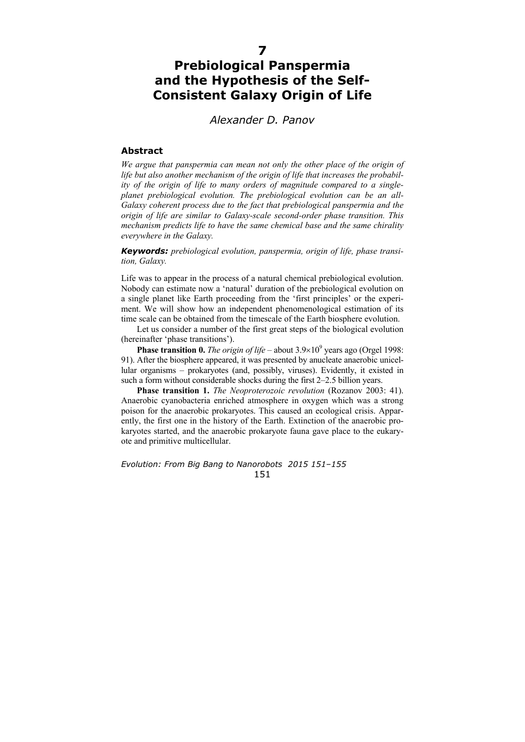## **7**

## **Prebiological Panspermia and the Hypothesis of the Self-Consistent Galaxy Origin of Life**

*Alexander D. Panov* 

## **Abstract**

*We argue that panspermia can mean not only the other place of the origin of life but also another mechanism of the origin of life that increases the probability of the origin of life to many orders of magnitude compared to a singleplanet prebiological evolution. The prebiological evolution can be an all-Galaxy coherent process due to the fact that prebiological panspermia and the origin of life are similar to Galaxy-scale second-order phase transition. This mechanism predicts life to have the same chemical base and the same chirality everywhere in the Galaxy.* 

*Keywords: prebiological evolution, panspermia, origin of life, phase transition, Galaxy.* 

Life was to appear in the process of a natural chemical prebiological evolution. Nobody can estimate now a 'natural' duration of the prebiological evolution on a single planet like Earth proceeding from the 'first principles' or the experiment. We will show how an independent phenomenological estimation of its time scale can be obtained from the timescale of the Earth biosphere evolution.

Let us consider a number of the first great steps of the biological evolution (hereinafter 'phase transitions').

**Phase transition 0.** The origin of life – about  $3.9 \times 10^9$  years ago (Orgel 1998: 91). After the biosphere appeared, it was presented by anucleate anaerobic unicellular organisms – prokaryotes (and, possibly, viruses). Evidently, it existed in such a form without considerable shocks during the first 2–2.5 billion years.

**Phase transition 1.** *The Neoproterozoic revolution* (Rozanov 2003: 41). Anaerobic cyanobacteria enriched atmosphere in oxygen which was a strong poison for the anaerobic prokaryotes. This caused an ecological crisis. Apparently, the first one in the history of the Earth. Extinction of the anaerobic prokaryotes started, and the anaerobic prokaryote fauna gave place to the eukaryote and primitive multicellular.

*Evolution: From Big Bang to Nanorobots 2015 151–155*  151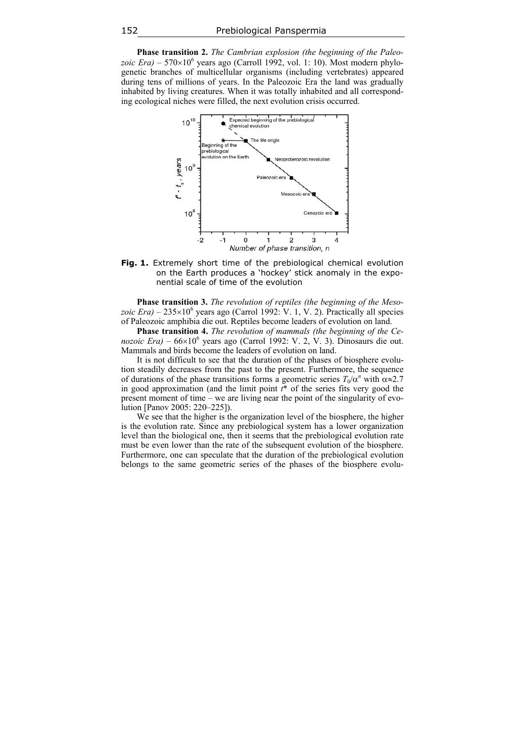**Phase transition 2.** *The Cambrian explosion (the beginning of the Paleo* $zoic Era$ ) – 570×10<sup>6</sup> years ago (Carroll 1992, vol. 1: 10). Most modern phylogenetic branches of multicellular organisms (including vertebrates) appeared during tens of millions of years. In the Paleozoic Era the land was gradually inhabited by living creatures. When it was totally inhabited and all corresponding ecological niches were filled, the next evolution crisis occurred.



**Fig. 1.** Extremely short time of the prebiological chemical evolution on the Earth produces a 'hockey' stick anomaly in the exponential scale of time of the evolution

**Phase transition 3.** *The revolution of reptiles (the beginning of the Meso*zoic *Era*) –  $235 \times 10^6$  years ago (Carrol 1992: V. 1, V. 2). Practically all species of Paleozoic amphibia die out. Reptiles become leaders of evolution on land.

**Phase transition 4.** *The revolution of mammals (the beginning of the Cenozoic Era)* – 66×10<sup>6</sup> years ago (Carrol 1992: V. 2, V. 3). Dinosaurs die out. Mammals and birds become the leaders of evolution on land.

It is not difficult to see that the duration of the phases of biosphere evolution steadily decreases from the past to the present. Furthermore, the sequence of durations of the phase transitions forms a geometric series  $T_0/\alpha^n$  with  $\alpha \approx 2.7$ in good approximation (and the limit point *t*\* of the series fits very good the present moment of time – we are living near the point of the singularity of evolution [Panov 2005: 220–225]).

We see that the higher is the organization level of the biosphere, the higher is the evolution rate. Since any prebiological system has a lower organization level than the biological one, then it seems that the prebiological evolution rate must be even lower than the rate of the subsequent evolution of the biosphere. Furthermore, one can speculate that the duration of the prebiological evolution belongs to the same geometric series of the phases of the biosphere evolu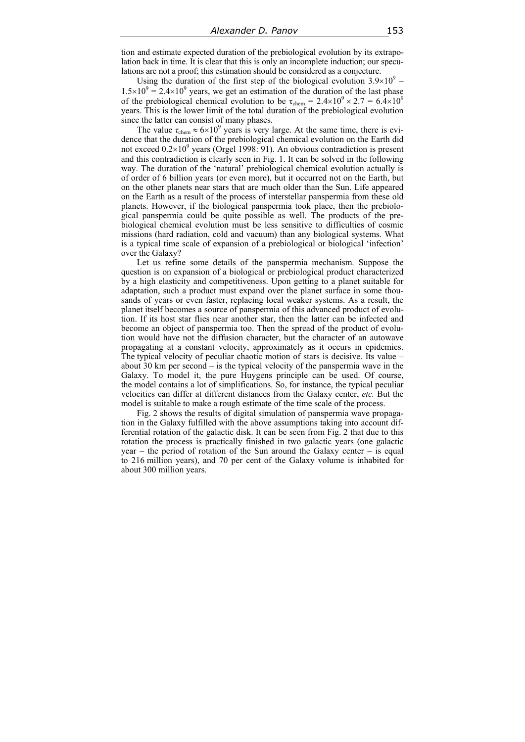tion and estimate expected duration of the prebiological evolution by its extrapolation back in time. It is clear that this is only an incomplete induction; our speculations are not a proof; this estimation should be considered as a conjecture.

Using the duration of the first step of the biological evolution  $3.9\times10^{9}$  –  $1.5\times10^{9} = 2.4\times10^{9}$  years, we get an estimation of the duration of the last phase of the prebiological chemical evolution to be  $\tau_{chem} = 2.4 \times 10^9 \times 2.7 = 6.4 \times 10^9$ years. This is the lower limit of the total duration of the prebiological evolution since the latter can consist of many phases.

The value  $\tau_{\text{chem}} \approx 6 \times 10^9$  years is very large. At the same time, there is evidence that the duration of the prebiological chemical evolution on the Earth did not exceed  $0.2\times10^9$  years (Orgel 1998: 91). An obvious contradiction is present and this contradiction is clearly seen in Fig. 1. It can be solved in the following way. The duration of the 'natural' prebiological chemical evolution actually is of order of 6 billion years (or even more), but it occurred not on the Earth, but on the other planets near stars that are much older than the Sun. Life appeared on the Earth as a result of the process of interstellar panspermia from these old planets. However, if the biological panspermia took place, then the prebiological panspermia could be quite possible as well. The products of the prebiological chemical evolution must be less sensitive to difficulties of cosmic missions (hard radiation, cold and vacuum) than any biological systems. What is a typical time scale of expansion of a prebiological or biological 'infection' over the Galaxy?

Let us refine some details of the panspermia mechanism. Suppose the question is on expansion of a biological or prebiological product characterized by a high elasticity and competitiveness. Upon getting to a planet suitable for adaptation, such a product must expand over the planet surface in some thousands of years or even faster, replacing local weaker systems. As a result, the planet itself becomes a source of panspermia of this advanced product of evolution. If its host star flies near another star, then the latter can be infected and become an object of panspermia too. Then the spread of the product of evolution would have not the diffusion character, but the character of an autowave propagating at a constant velocity, approximately as it occurs in epidemics. The typical velocity of peculiar chaotic motion of stars is decisive. Its value – about 30 km per second – is the typical velocity of the panspermia wave in the Galaxy. To model it, the pure Huygens principle can be used. Of course, the model contains a lot of simplifications. So, for instance, the typical peculiar velocities can differ at different distances from the Galaxy center, *etc.* But the model is suitable to make a rough estimate of the time scale of the process.

Fig. 2 shows the results of digital simulation of panspermia wave propagation in the Galaxy fulfilled with the above assumptions taking into account differential rotation of the galactic disk. It can be seen from Fig. 2 that due to this rotation the process is practically finished in two galactic years (one galactic year – the period of rotation of the Sun around the Galaxy center – is equal to 216 million years), and 70 per cent of the Galaxy volume is inhabited for about 300 million years.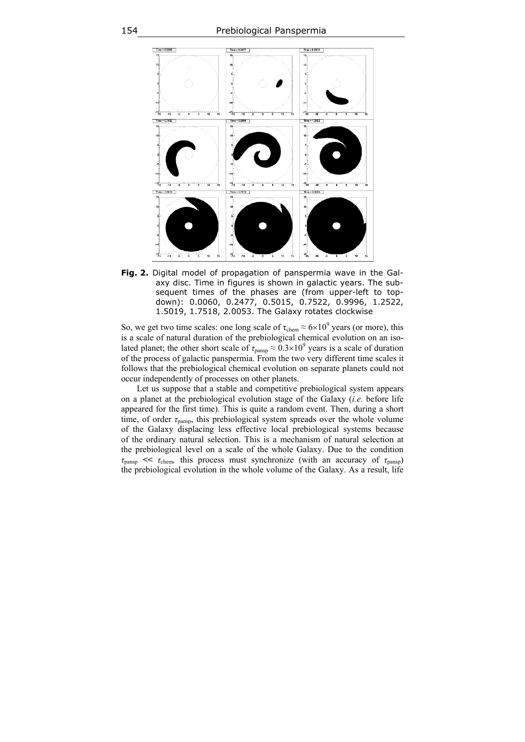

**Fig. 2.** Digital model of propagation of panspermia wave in the Galaxy disc. Time in figures is shown in galactic years. The subsequent times of the phases are (from upper-left to topdown): 0.0060, 0.2477, 0.5015, 0.7522, 0.9996, 1.2522, 1.5019, 1.7518, 2.0053. The Galaxy rotates clockwise

So, we get two time scales: one long scale of  $\tau_{\text{chem}} \approx 6 \times 10^9$  years (or more), this is a scale of natural duration of the prebiological chemical evolution on an isolated planet; the other short scale of  $\tau_{\text{pansp}} \approx 0.3 \times 10^9$  years is a scale of duration of the process of galactic panspermia. From the two very different time scales it follows that the prebiological chemical evolution on separate planets could not occur independently of processes on other planets.

Let us suppose that a stable and competitive prebiological system appears on a planet at the prebiological evolution stage of the Galaxy (*i.e.* before life appeared for the first time). This is quite a random event. Then, during a short time, of order *τ*pansp, this prebiological system spreads over the whole volume of the Galaxy displacing less effective local prebiological systems because of the ordinary natural selection. This is a mechanism of natural selection at the prebiological level on a scale of the whole Galaxy. Due to the condition  $\tau_{\text{pansp}} \ll \tau_{\text{chem}}$ , this process must synchronize (with an accuracy of  $\tau_{\text{pansp}}$ ) the prebiological evolution in the whole volume of the Galaxy. As a result, life